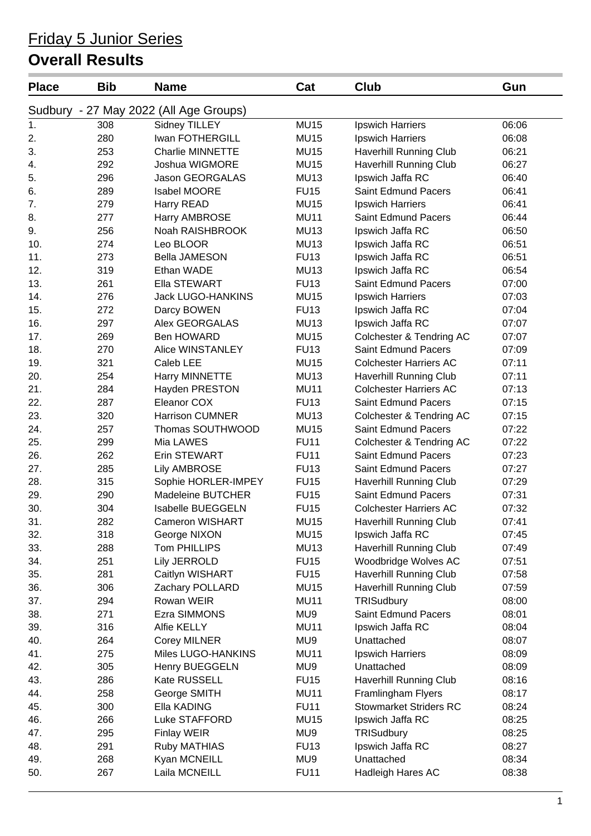## Friday 5 Junior Series

## **Overall Results**

| <b>Place</b> | <b>Bib</b> | <b>Name</b>                            | Cat              | Club                          | Gun   |
|--------------|------------|----------------------------------------|------------------|-------------------------------|-------|
|              |            | Sudbury - 27 May 2022 (All Age Groups) |                  |                               |       |
| 1.           | 308        | Sidney TILLEY                          | <b>MU15</b>      | Ipswich Harriers              | 06:06 |
| 2.           | 280        | Iwan FOTHERGILL                        | <b>MU15</b>      | Ipswich Harriers              | 06:08 |
| 3.           | 253        | <b>Charlie MINNETTE</b>                | <b>MU15</b>      | Haverhill Running Club        | 06:21 |
| 4.           | 292        | Joshua WIGMORE                         | <b>MU15</b>      | <b>Haverhill Running Club</b> | 06:27 |
| 5.           | 296        | Jason GEORGALAS                        | <b>MU13</b>      | Ipswich Jaffa RC              | 06:40 |
| 6.           | 289        | Isabel MOORE                           | <b>FU15</b>      | Saint Edmund Pacers           | 06:41 |
| 7.           | 279        | Harry READ                             | <b>MU15</b>      | Ipswich Harriers              | 06:41 |
| 8.           | 277        | Harry AMBROSE                          | <b>MU11</b>      | <b>Saint Edmund Pacers</b>    | 06:44 |
| 9.           | 256        | Noah RAISHBROOK                        | MU <sub>13</sub> | Ipswich Jaffa RC              | 06:50 |
| 10.          | 274        | Leo BLOOR                              | <b>MU13</b>      | Ipswich Jaffa RC              | 06:51 |
| 11.          | 273        | <b>Bella JAMESON</b>                   | <b>FU13</b>      | Ipswich Jaffa RC              | 06:51 |
| 12.          | 319        | Ethan WADE                             | <b>MU13</b>      | Ipswich Jaffa RC              | 06:54 |
| 13.          | 261        | Ella STEWART                           | <b>FU13</b>      | <b>Saint Edmund Pacers</b>    | 07:00 |
| 14.          | 276        | <b>Jack LUGO-HANKINS</b>               | <b>MU15</b>      | Ipswich Harriers              | 07:03 |
| 15.          | 272        | Darcy BOWEN                            | <b>FU13</b>      | Ipswich Jaffa RC              | 07:04 |
| 16.          | 297        | Alex GEORGALAS                         | <b>MU13</b>      | Ipswich Jaffa RC              | 07:07 |
| 17.          | 269        | Ben HOWARD                             | <b>MU15</b>      | Colchester & Tendring AC      | 07:07 |
| 18.          | 270        | Alice WINSTANLEY                       | <b>FU13</b>      | Saint Edmund Pacers           | 07:09 |
| 19.          | 321        | Caleb LEE                              | <b>MU15</b>      | <b>Colchester Harriers AC</b> | 07:11 |
| 20.          | 254        | Harry MINNETTE                         | MU <sub>13</sub> | Haverhill Running Club        | 07:11 |
| 21.          | 284        | Hayden PRESTON                         | <b>MU11</b>      | <b>Colchester Harriers AC</b> | 07:13 |
| 22.          | 287        | Eleanor COX                            | <b>FU13</b>      | Saint Edmund Pacers           | 07:15 |
| 23.          | 320        | <b>Harrison CUMNER</b>                 | MU <sub>13</sub> | Colchester & Tendring AC      | 07:15 |
| 24.          | 257        | Thomas SOUTHWOOD                       | <b>MU15</b>      | <b>Saint Edmund Pacers</b>    | 07:22 |
| 25.          | 299        | Mia LAWES                              | <b>FU11</b>      | Colchester & Tendring AC      | 07:22 |
| 26.          | 262        | Erin STEWART                           | <b>FU11</b>      | Saint Edmund Pacers           | 07:23 |
| 27.          | 285        | <b>Lily AMBROSE</b>                    | <b>FU13</b>      | Saint Edmund Pacers           | 07:27 |
| 28.          | 315        | Sophie HORLER-IMPEY                    | <b>FU15</b>      | Haverhill Running Club        | 07:29 |
| 29.          | 290        | Madeleine BUTCHER                      | <b>FU15</b>      | Saint Edmund Pacers           | 07:31 |
| 30.          | 304        | Isabelle BUEGGELN                      | <b>FU15</b>      | <b>Colchester Harriers AC</b> | 07:32 |
| 31.          | 282        | <b>Cameron WISHART</b>                 | <b>MU15</b>      | Haverhill Running Club        | 07:41 |
| 32.          | 318        | George NIXON                           | <b>MU15</b>      | Ipswich Jaffa RC              | 07:45 |
| 33.          | 288        | Tom PHILLIPS                           | <b>MU13</b>      | Haverhill Running Club        | 07:49 |
| 34.          | 251        | <b>Lily JERROLD</b>                    | <b>FU15</b>      | Woodbridge Wolves AC          | 07:51 |
| 35.          | 281        | Caitlyn WISHART                        | <b>FU15</b>      | Haverhill Running Club        | 07:58 |
| 36.          | 306        | Zachary POLLARD                        | <b>MU15</b>      | <b>Haverhill Running Club</b> | 07:59 |
| 37.          | 294        | Rowan WEIR                             | <b>MU11</b>      | TRISudbury                    | 08:00 |
| 38.          | 271        | Ezra SIMMONS                           | MU9              | Saint Edmund Pacers           | 08:01 |
| 39.          | 316        | Alfie KELLY                            | <b>MU11</b>      | Ipswich Jaffa RC              | 08:04 |
| 40.          | 264        | <b>Corey MILNER</b>                    | MU9              | Unattached                    | 08:07 |
| 41.          | 275        | Miles LUGO-HANKINS                     | <b>MU11</b>      | Ipswich Harriers              | 08:09 |
| 42.          | 305        | Henry BUEGGELN                         | MU9              | Unattached                    | 08:09 |
| 43.          | 286        | Kate RUSSELL                           | <b>FU15</b>      | Haverhill Running Club        | 08:16 |
| 44.          | 258        | George SMITH                           | <b>MU11</b>      | Framlingham Flyers            | 08:17 |
| 45.          | 300        | Ella KADING                            | <b>FU11</b>      | <b>Stowmarket Striders RC</b> | 08:24 |
| 46.          | 266        | Luke STAFFORD                          | <b>MU15</b>      | Ipswich Jaffa RC              | 08:25 |
| 47.          | 295        | <b>Finlay WEIR</b>                     | MU9              | TRISudbury                    | 08:25 |
| 48.          | 291        |                                        | <b>FU13</b>      |                               | 08:27 |
|              |            | Ruby MATHIAS                           |                  | Ipswich Jaffa RC              |       |
| 49.          | 268        | Kyan MCNEILL                           | MU9              | Unattached                    | 08:34 |
| 50.          | 267        | Laila MCNEILL                          | <b>FU11</b>      | Hadleigh Hares AC             | 08:38 |